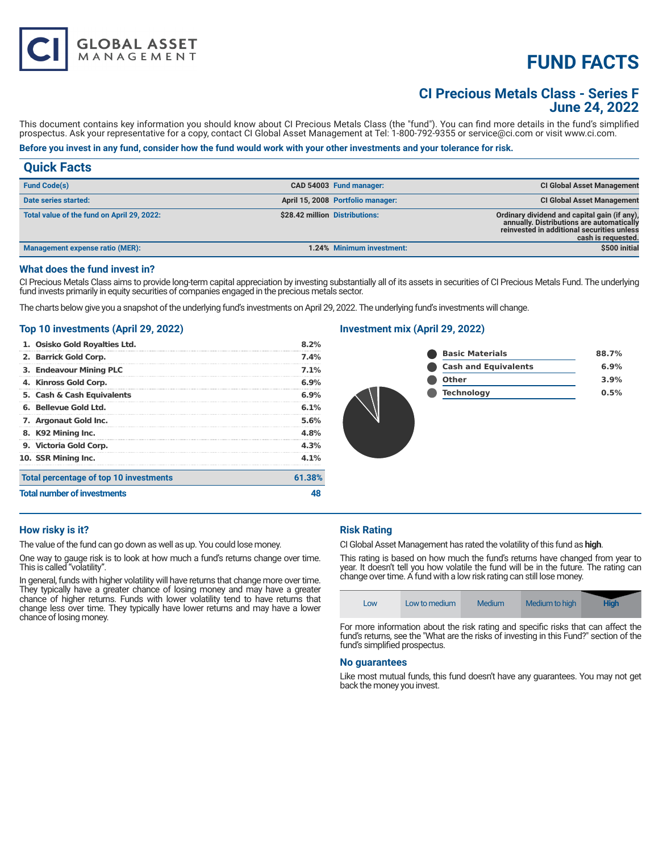# **FUND FACTS**

# **CI Precious Metals Class - Series F June 24, 2022**

This document contains key information you should know about CI Precious Metals Class (the "fund"). You can find more details in the fund's simplified prospectus. Ask your representative for a copy, contact CI Global Asset Management at Tel: 1-800-792-9355 or service@ci.com or visit www.ci.com.

# **Before you invest in any fund, consider how the fund would work with your other investments and your tolerance for risk.**

| <b>Quick Facts</b>                         |                                   |                                                                                                                                                               |
|--------------------------------------------|-----------------------------------|---------------------------------------------------------------------------------------------------------------------------------------------------------------|
| <b>Fund Code(s)</b>                        | CAD 54003 Fund manager:           | <b>CI Global Asset Management</b>                                                                                                                             |
| Date series started:                       | April 15, 2008 Portfolio manager: | <b>CI Global Asset Management</b>                                                                                                                             |
| Total value of the fund on April 29, 2022: | \$28.42 million Distributions:    | Ordinary dividend and capital gain (if any),<br>annually. Distributions are automatically<br>reinvested in additional securities unless<br>cash is requested. |
| Management expense ratio (MER):            | 1.24% Minimum investment:         | \$500 initial                                                                                                                                                 |

#### **What does the fund invest in?**

CI Precious Metals Class aims to provide long-term capital appreciation by investing substantially all of its assets in securities of CI Precious Metals Fund. The underlying fund invests primarily in equity securities of companies engaged in the precious metals sector.

The charts below give you a snapshot of the underlying fund's investments on April 29, 2022. The underlying fund's investments will change.

#### **Top 10 investments (April 29, 2022)**

**GLOBAL ASSET**<br>MANAGEMENT

| <b>Total number of investments</b>     |         |
|----------------------------------------|---------|
| Total percentage of top 10 investments | 61.38%  |
| 10. SSR Mining Inc.                    | 4.1%    |
| 9. Victoria Gold Corp.                 | 4.3%    |
| 8. K92 Mining Inc.                     | 4.8%    |
| 7. Argonaut Gold Inc.                  | 5.6%    |
| 6. Bellevue Gold Ltd.                  | 6.1%    |
| 5. Cash & Cash Equivalents             | $6.9\%$ |
| 4. Kinross Gold Corp.                  | $6.9\%$ |
| 3. Endeavour Mining PLC                | 7.1%    |
| 2. Barrick Gold Corp.                  | $7.4\%$ |
| 1. Osisko Gold Royalties Ltd.          | 8.2%    |

## **Investment mix (April 29, 2022)**

| <b>Basic Materials</b>      | 88.7% |
|-----------------------------|-------|
| <b>Cash and Equivalents</b> | 6.9%  |
| <b>Other</b>                | 3.9%  |
| <b>Technology</b>           | 0.5%  |
|                             |       |

#### **How risky is it?**

The value of the fund can go down as well as up. You could lose money.

One way to gauge risk is to look at how much a fund's returns change over time. This is called "volatility".

In general, funds with higher volatility will have returns that change more over time. They typically have a greater chance of losing money and may have a greater chance of higher returns. Funds with lower volatility tend to have returns that change less over time. They typically have lower returns and may have a lower chance of losing money.

# **Risk Rating**

CI Global Asset Management has rated the volatility of this fund as **high**.

This rating is based on how much the fund's returns have changed from year to year. It doesn't tell you how volatile the fund will be in the future. The rating can change over time. A fund with a low risk rating can still lose money.



For more information about the risk rating and specific risks that can affect the fund's returns, see the "What are the risks of investing in this Fund?" section of the fund's simplified prospectus.

#### **No guarantees**

Like most mutual funds, this fund doesn't have any guarantees. You may not get back the money you invest.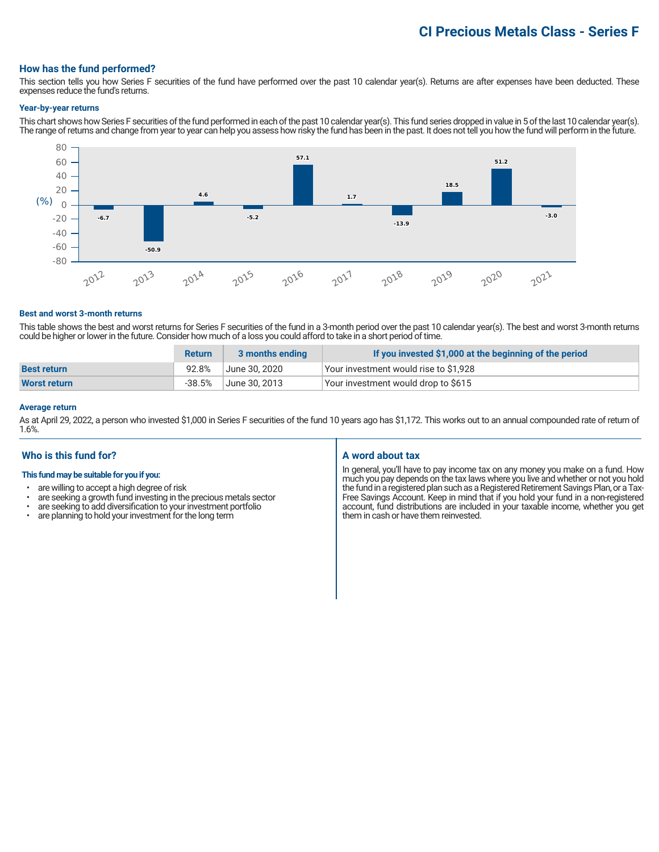# **CI Precious Metals Class - Series F**

#### **How has the fund performed?**

This section tells you how Series F securities of the fund have performed over the past 10 calendar year(s). Returns are after expenses have been deducted. These expenses reduce the fund's returns.

#### **Year-by-year returns**

This chart shows how Series F securities of the fund performed in each of the past 10 calendar year(s). This fund series dropped in value in 5 of the last 10 calendar year(s). The range of returns and change from year to year can help you assess how risky the fund has been in the past. It does not tell you how the fund will perform in the future.



#### **Best and worst 3-month returns**

This table shows the best and worst returns for Series F securities of the fund in a 3-month period over the past 10 calendar year(s). The best and worst 3-month returns could be higher or lower in the future. Consider how much of a loss you could afford to take in a short period of time.

|                    | <b>Return</b> | 3 months ending | If you invested \$1,000 at the beginning of the period |
|--------------------|---------------|-----------------|--------------------------------------------------------|
| <b>Best return</b> | 92.8%         | June 30. 2020   | Your investment would rise to \$1,928                  |
| Worst return       | $-38.5\%$     | June 30, 2013   | Your investment would drop to \$615                    |

## **Average return**

As at April 29, 2022, a person who invested \$1,000 in Series F securities of the fund 10 years ago has \$1,172. This works out to an annual compounded rate of return of 1.6%.

## **Who is this fund for?**

#### **This fund may be suitable for you if you:**

- are willing to accept a high degree of risk
- are seeking a growth fund investing in the precious metals sector<br>• are seeking to add diversification to your investment portfolion
- are seeking to add diversification to your investment portfolio<br>• are planning to hold your investment for the long term
- are planning to hold your investment for the long term

#### **A word about tax**

In general, you'll have to pay income tax on any money you make on a fund. How much you pay depends on the tax laws where you live and whether or not you hold the fund in a registered plan such as a Registered Retirement Savings Plan, or a Tax-Free Savings Account. Keep in mind that if you hold your fund in a non-registered account, fund distributions are included in your taxable income, whether you get them in cash or have them reinvested.